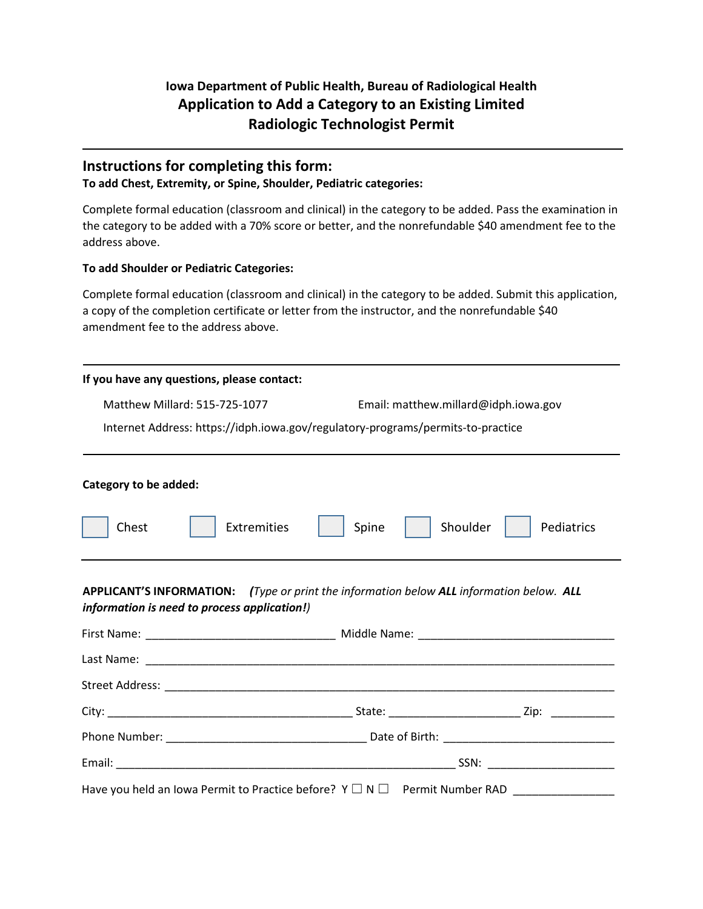# **Iowa Department of Public Health, Bureau of Radiological Health Application to Add a Category to an Existing Limited Radiologic Technologist Permit**

## **Instructions for completing this form:**

#### **To add Chest, Extremity, or Spine, Shoulder, Pediatric categories:**

Complete formal education (classroom and clinical) in the category to be added. Pass the examination in the category to be added with a 70% score or better, and the nonrefundable \$40 amendment fee to the address above.

### **To add Shoulder or Pediatric Categories:**

Complete formal education (classroom and clinical) in the category to be added. Submit this application, a copy of the completion certificate or letter from the instructor, and the nonrefundable \$40 amendment fee to the address above.

| If you have any questions, please contact:                                                                                               |                      |                                      |  |  |
|------------------------------------------------------------------------------------------------------------------------------------------|----------------------|--------------------------------------|--|--|
| Matthew Millard: 515-725-1077                                                                                                            |                      | Email: matthew.millard@idph.iowa.gov |  |  |
| Internet Address: https://idph.iowa.gov/regulatory-programs/permits-to-practice                                                          |                      |                                      |  |  |
| Category to be added:                                                                                                                    |                      |                                      |  |  |
| Chest                                                                                                                                    | Extremities<br>Spine | Shoulder<br>Pediatrics               |  |  |
| APPLICANT'S INFORMATION: (Type or print the information below ALL information below. ALL<br>information is need to process application!) |                      |                                      |  |  |
|                                                                                                                                          |                      |                                      |  |  |
|                                                                                                                                          |                      |                                      |  |  |
|                                                                                                                                          |                      |                                      |  |  |
|                                                                                                                                          |                      |                                      |  |  |
|                                                                                                                                          |                      |                                      |  |  |
|                                                                                                                                          |                      |                                      |  |  |
|                                                                                                                                          |                      |                                      |  |  |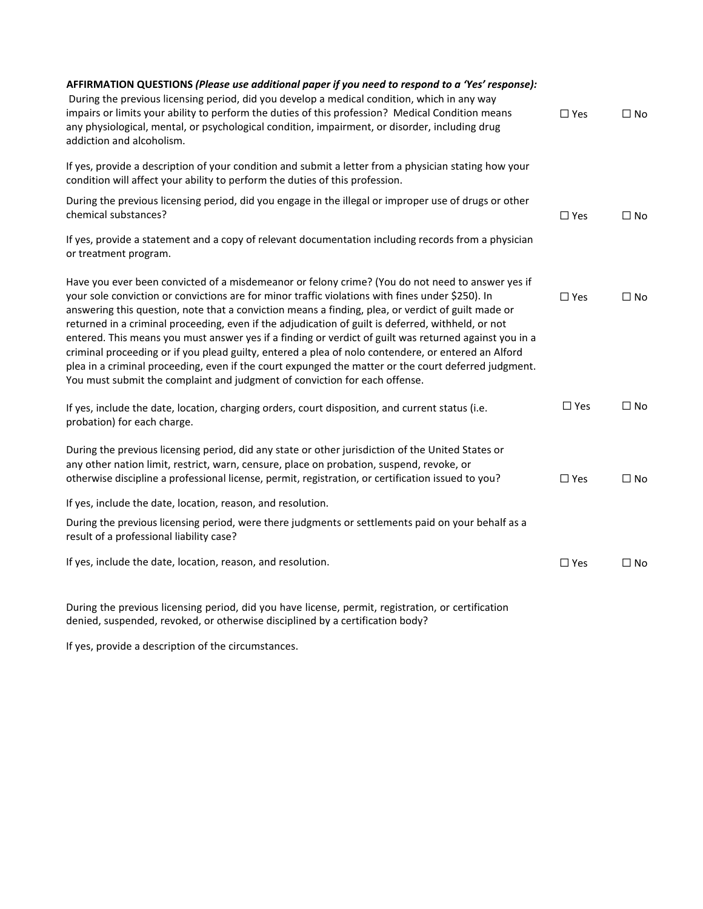| AFFIRMATION QUESTIONS (Please use additional paper if you need to respond to a 'Yes' response):<br>During the previous licensing period, did you develop a medical condition, which in any way<br>impairs or limits your ability to perform the duties of this profession? Medical Condition means<br>any physiological, mental, or psychological condition, impairment, or disorder, including drug<br>addiction and alcoholism.                                                                                                                                                                                                                                                                                                                                                                                       | $\Box$ Yes    | $\Box$ No    |
|-------------------------------------------------------------------------------------------------------------------------------------------------------------------------------------------------------------------------------------------------------------------------------------------------------------------------------------------------------------------------------------------------------------------------------------------------------------------------------------------------------------------------------------------------------------------------------------------------------------------------------------------------------------------------------------------------------------------------------------------------------------------------------------------------------------------------|---------------|--------------|
| If yes, provide a description of your condition and submit a letter from a physician stating how your<br>condition will affect your ability to perform the duties of this profession.                                                                                                                                                                                                                                                                                                                                                                                                                                                                                                                                                                                                                                   |               |              |
| During the previous licensing period, did you engage in the illegal or improper use of drugs or other<br>chemical substances?                                                                                                                                                                                                                                                                                                                                                                                                                                                                                                                                                                                                                                                                                           | $\square$ Yes | $\Box$ No    |
| If yes, provide a statement and a copy of relevant documentation including records from a physician<br>or treatment program.                                                                                                                                                                                                                                                                                                                                                                                                                                                                                                                                                                                                                                                                                            |               |              |
| Have you ever been convicted of a misdemeanor or felony crime? (You do not need to answer yes if<br>your sole conviction or convictions are for minor traffic violations with fines under \$250). In<br>answering this question, note that a conviction means a finding, plea, or verdict of guilt made or<br>returned in a criminal proceeding, even if the adjudication of guilt is deferred, withheld, or not<br>entered. This means you must answer yes if a finding or verdict of guilt was returned against you in a<br>criminal proceeding or if you plead guilty, entered a plea of nolo contendere, or entered an Alford<br>plea in a criminal proceeding, even if the court expunged the matter or the court deferred judgment.<br>You must submit the complaint and judgment of conviction for each offense. | $\square$ Yes | $\square$ No |
| If yes, include the date, location, charging orders, court disposition, and current status (i.e.<br>probation) for each charge.                                                                                                                                                                                                                                                                                                                                                                                                                                                                                                                                                                                                                                                                                         | $\Box$ Yes    | $\square$ No |
| During the previous licensing period, did any state or other jurisdiction of the United States or<br>any other nation limit, restrict, warn, censure, place on probation, suspend, revoke, or<br>otherwise discipline a professional license, permit, registration, or certification issued to you?                                                                                                                                                                                                                                                                                                                                                                                                                                                                                                                     | $\square$ Yes | $\Box$ No    |
| If yes, include the date, location, reason, and resolution.                                                                                                                                                                                                                                                                                                                                                                                                                                                                                                                                                                                                                                                                                                                                                             |               |              |
| During the previous licensing period, were there judgments or settlements paid on your behalf as a<br>result of a professional liability case?                                                                                                                                                                                                                                                                                                                                                                                                                                                                                                                                                                                                                                                                          |               |              |
| If yes, include the date, location, reason, and resolution.                                                                                                                                                                                                                                                                                                                                                                                                                                                                                                                                                                                                                                                                                                                                                             | $\Box$ Yes    | $\square$ No |
| During the previous licensing period, did you have license, permit, registration, or certification                                                                                                                                                                                                                                                                                                                                                                                                                                                                                                                                                                                                                                                                                                                      |               |              |

denied, suspended, revoked, or otherwise disciplined by a certification body?

If yes, provide a description of the circumstances.